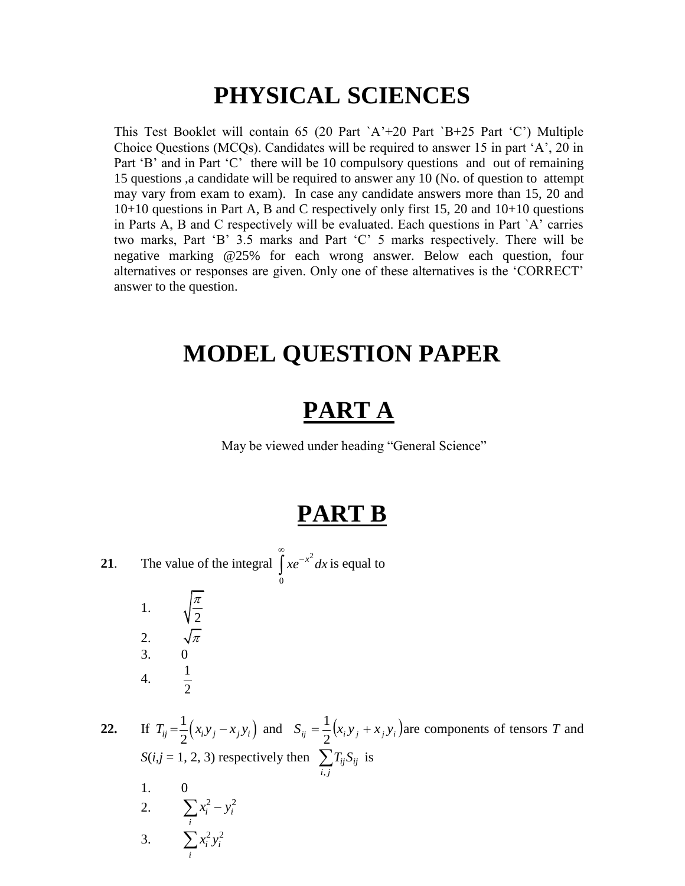# **PHYSICAL SCIENCES**

This Test Booklet will contain 65 (20 Part  $A^+20$  Part  $B^+25$  Part  $(C^*)$  Multiple Choice Questions (MCQs). Candidates will be required to answer 15 in part "A", 20 in Part 'B' and in Part 'C' there will be 10 compulsory questions and out of remaining 15 questions ,a candidate will be required to answer any 10 (No. of question to attempt may vary from exam to exam). In case any candidate answers more than 15, 20 and 10+10 questions in Part A, B and C respectively only first 15, 20 and 10+10 questions in Parts A, B and C respectively will be evaluated. Each questions in Part `A" carries two marks, Part "B" 3.5 marks and Part "C" 5 marks respectively. There will be negative marking @25% for each wrong answer. Below each question, four alternatives or responses are given. Only one of these alternatives is the "CORRECT" answer to the question.

## **MODEL QUESTION PAPER**

# **PART A**

May be viewed under heading "General Science"

### **PART B**

∞

*i*

**21**. The value of the integral  $\int xe^{-x^2}$ 0  $xe^{-x^2}dx$  $\int xe^{-x^2} dx$  is equal to 1. 2 π 2.  $\sqrt{\pi}$ 3. 0 4.  $\frac{1}{2}$ 2 **22.** If  $(x_i y_j - x_j y_i)$ 1  $T_{ij} = \frac{1}{2} (x_i y_j - x_j y_i)$  and  $S_{ij} = \frac{1}{2} (x_i y_j + x_j y_i)$  $\frac{1}{2}(x_i y_i + x_i y_i)$  are components of tensors *T* and  $S(i, j = 1, 2, 3)$  respectively then , *ij ij i j*  $\sum T_{ij} S_{ij}$  is 1. 0 2.  $\sum x_i^2 - y_i^2$  $i - y_i$ *i*  $\sum x_i^2 - y_i$ 3.  $\sum x_i^2 y_i^2$ *i i*  $\sum x_i^2 y$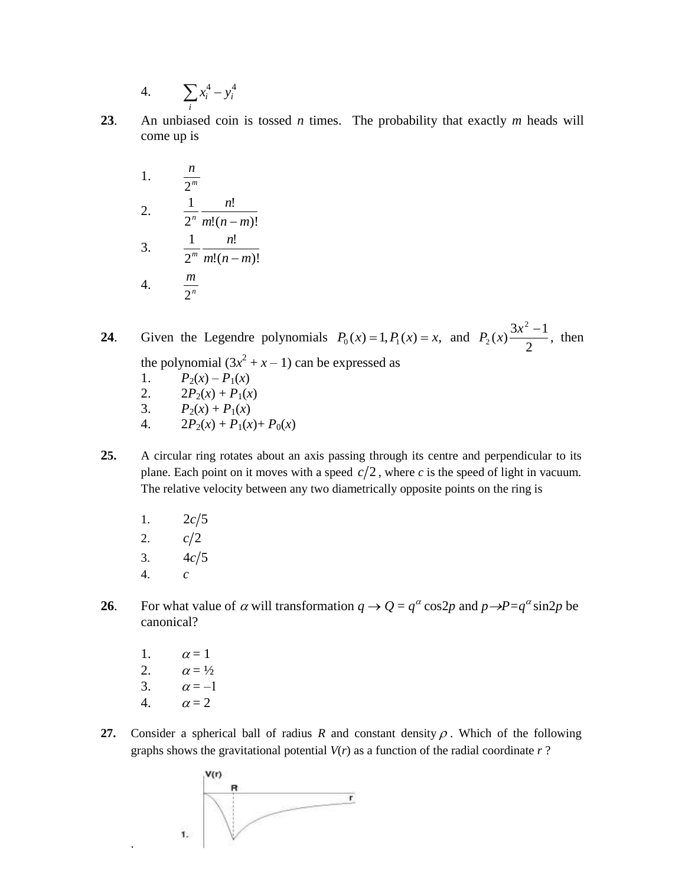4. 
$$
\sum_i x_i^4 - y_i^4
$$

**23**. An unbiased coin is tossed *n* times. The probability that exactly *m* heads will come up is

1. 
$$
\frac{n}{2^{m}}
$$
  
\n2. 
$$
\frac{1}{2^{n}} \frac{n!}{m!(n-m)!}
$$
  
\n3. 
$$
\frac{1}{2^{m}} \frac{n!}{m!(n-m)!}
$$
  
\n4. 
$$
\frac{m}{2^{n}}
$$

**24**. Given the Legendre polynomials  $P_0(x) = 1, P_1(x) = x$ , and 2  $\frac{3x^2-1}{2}$ 2 2  $P_2(x) \frac{3x^2 - 1}{2}$ , then the polynomial  $(3x^2 + x - 1)$  can be expressed as

- 1.  $P_2(x) P_1(x)$
- 2.  $2P_2(x) + P_1(x)$
- 3.  $P_2(x) + P_1(x)$
- 4.  $2P_2(x) + P_1(x) + P_0(x)$
- **25.** A circular ring rotates about an axis passing through its centre and perpendicular to its plane. Each point on it moves with a speed  $c/2$ , where c is the speed of light in vacuum. The relative velocity between any two diametrically opposite points on the ring is
	- 1.  $2c/5$
	- 2.  $c/2$
	- 3.  $4c/5$
	- 4. *c*
- **26**. For what value of  $\alpha$  will transformation  $q \to Q = q^{\alpha} \cos 2p$  and  $p \to P = q^{\alpha} \sin 2p$  be canonical?
	- 1.  $\alpha = 1$
	- 2.  $\alpha = \frac{1}{2}$
	- 3.  $\alpha = -1$
	- 4.  $\alpha = 2$

.

**27.** Consider a spherical ball of radius R and constant density  $\rho$ . Which of the following graphs shows the gravitational potential *V*(*r*) as a function of the radial coordinate *r* ?

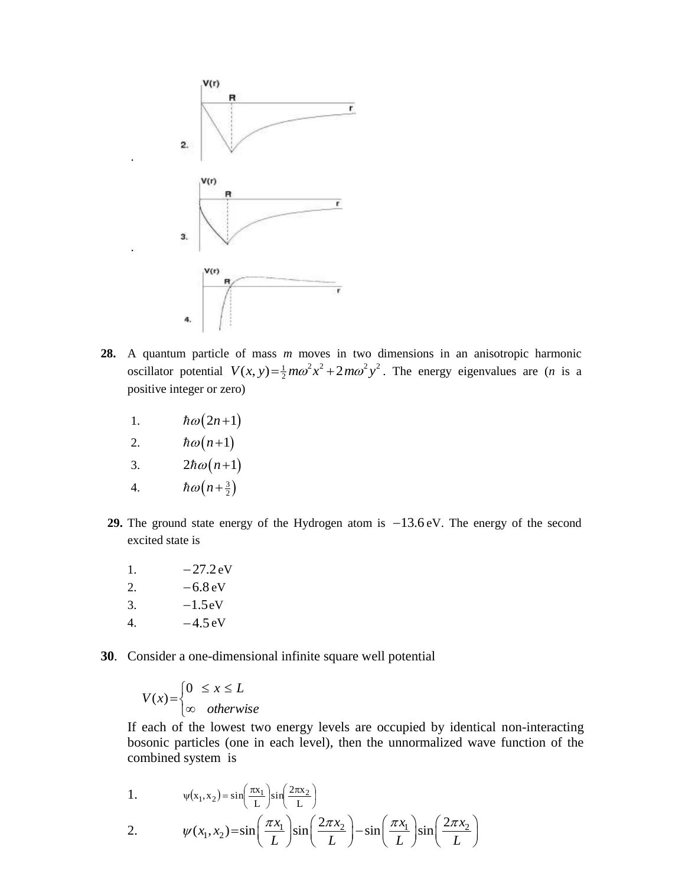

- **28.** A quantum particle of mass *m* moves in two dimensions in an anisotropic harmonic A quantum particle of mass *m* moves in two dimensions in an anisotropic narmonic oscillator potential  $V(x, y) = \frac{1}{2} m\omega^2 x^2 + 2m\omega^2 y^2$ . The energy eigenvalues are (*n* is a positive integer or zero)
	- 1.  $\hbar \omega (2n+1)$

.

.

- 2.  $\hbar\omega(n+1)$
- 3.  $2\hbar\omega(n+1)$
- 4.  $\hbar\omega\left(n+\frac{3}{2}\right)$
- **29.** The ground state energy of the Hydrogen atom is  $-13.6$  eV. The energy of the second excited state is
	- 1.  $-27.2 \text{ eV}$ 2.  $-6.8 \text{ eV}$ 3.  $-1.5 \text{eV}$ 4.  $-4.5 \text{ eV}$
- **30**. Consider a one-dimensional infinite square well potential

$$
V(x) = \begin{cases} 0 & \le x \le L \\ \infty & otherwise \end{cases}
$$

If each of the lowest two energy levels are occupied by identical non-interacting bosonic particles (one in each level), then the unnormalized wave function of the combined system is

1. 
$$
\psi(x_1, x_2) = \sin\left(\frac{\pi x_1}{L}\right) \sin\left(\frac{2\pi x_2}{L}\right)
$$
  
2. 
$$
\psi(x_1, x_2) = \sin\left(\frac{\pi x_1}{L}\right) \sin\left(\frac{2\pi x_2}{L}\right) - \sin\left(\frac{\pi x_1}{L}\right) \sin\left(\frac{2\pi x_2}{L}\right)
$$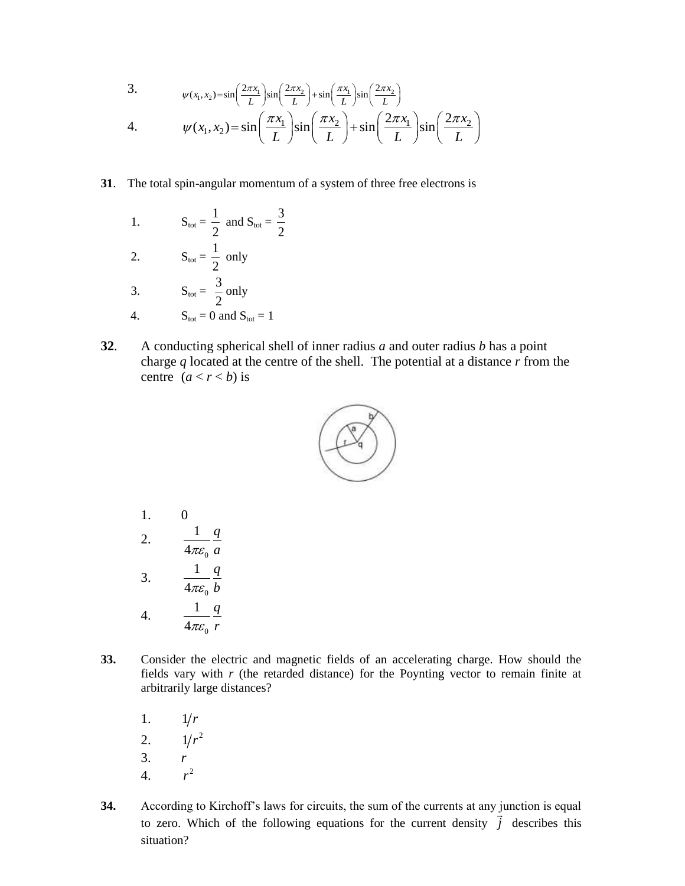3. 
$$
\psi(x_1, x_2) = \sin\left(\frac{2\pi x_1}{L}\right) \sin\left(\frac{2\pi x_2}{L}\right) + \sin\left(\frac{\pi x_1}{L}\right) \sin\left(\frac{2\pi x_2}{L}\right)
$$
  
4. 
$$
\psi(x_1, x_2) = \sin\left(\frac{\pi x_1}{L}\right) \sin\left(\frac{\pi x_2}{L}\right) + \sin\left(\frac{2\pi x_1}{L}\right) \sin\left(\frac{2\pi x_2}{L}\right)
$$

- **31**. The total spin-angular momentum of a system of three free electrons is
	- 1.  $S_{\text{tot}} = \frac{1}{2}$ 2 and  $S_{\text{tot}} = \frac{3}{2}$ 2 2.  $S_{\text{tot}} = \frac{1}{2}$ 2 only 3.  $S_{\text{tot}} = \frac{3}{2}$ 2 only 4.  $S_{\text{tot}} = 0$  and  $S_{\text{tot}} = 1$
- **32**. A conducting spherical shell of inner radius *a* and outer radius *b* has a point charge *q* located at the centre of the shell. The potential at a distance *r* from the centre  $(a < r < b)$  is



- 1. 0 2. 0 1 4 *q*  $\pi \varepsilon_0$  *a* 3. 0 1 4 *q*  $\pi \varepsilon_0$  *b* 4. 0 1 4 *q*  $\pi \varepsilon_0$  *r*
- **33.** Consider the electric and magnetic fields of an accelerating charge. How should the fields vary with *r* (the retarded distance) for the Poynting vector to remain finite at arbitrarily large distances?
	- 1.  $1/r$
	- 2.  $1/r^2$
	- 3. *r*
	- 4.  $r^2$
- **34.** According to Kirchoff"s laws for circuits, the sum of the currents at any junction is equal to zero. Which of the following equations for the current density *j*  $\frac{1}{1}$ describes this situation?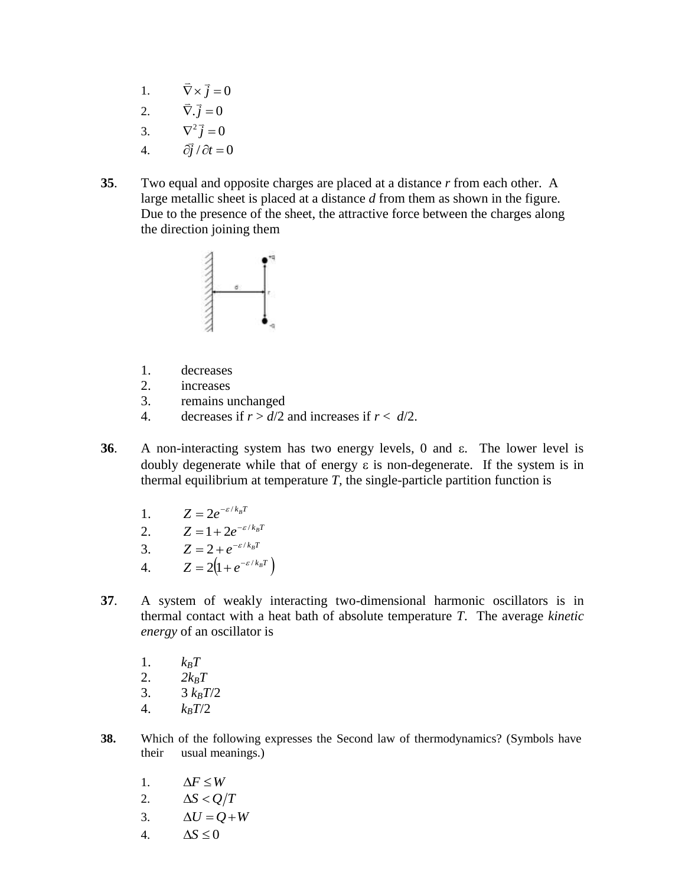- 1.  $\overrightarrow{\nabla} \times \overrightarrow{j} = 0$  $\Rightarrow$   $\Rightarrow$
- 2.  $\overrightarrow{\nabla} \cdot \overrightarrow{j} = 0$ .<br>⇒ ÷
- 3.  $\overrightarrow{\nabla^2 j} = 0$
- 4.  $\partial \vec{j}/\partial t = 0$ ์<br>ส
- **35**. Two equal and opposite charges are placed at a distance *r* from each other. A large metallic sheet is placed at a distance *d* from them as shown in the figure. Due to the presence of the sheet, the attractive force between the charges along the direction joining them



- 1. decreases
- 2. increases
- 3. remains unchanged
- 4. decreases if  $r > d/2$  and increases if  $r < d/2$ .
- **36**. A non-interacting system has two energy levels,  $0$  and  $\varepsilon$ . The lower level is doubly degenerate while that of energy  $\varepsilon$  is non-degenerate. If the system is in thermal equilibrium at temperature  $T$ , the single-particle partition function is
	- 1.  $Z = 2e^{-\varepsilon/k_BT}$
	- 2.  $Z = 1 + 2e^{-\varepsilon/k_B T}$
	- 3.  $Z = 2 + e^{-\varepsilon/k_B T}$
	- 4.  $Z = 2(1 + e^{-\varepsilon/k_BT})$
- **37**. A system of weakly interacting two-dimensional harmonic oscillators is in thermal contact with a heat bath of absolute temperature *T*. The average *kinetic energy* of an oscillator is
	- 1.  $k_B T$
	- 2.  $2k_BT$
	- 3.  $3 \, k_B T/2$
	- 4.  $k_B T/2$
- **38.** Which of the following expresses the Second law of thermodynamics? (Symbols have their usual meanings.)
	- 1.  $\Delta F \leq W$
	- 2.  $\Delta S < Q/T$
	- 3.  $\Delta U = Q + W$
	- 4.  $\Delta S \leq 0$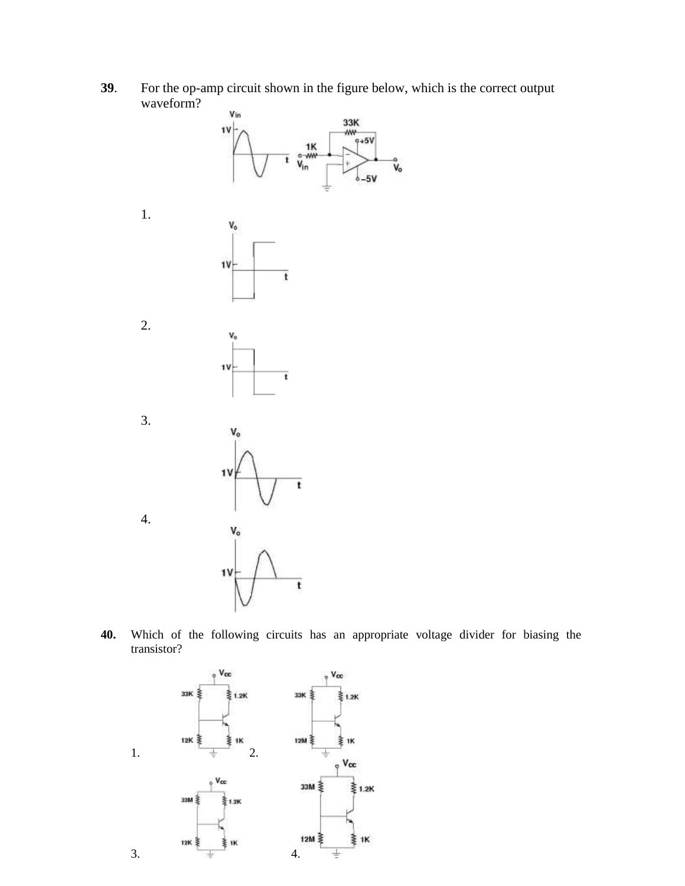**39**. For the op-amp circuit shown in the figure below, which is the correct output waveform?



**40.** Which of the following circuits has an appropriate voltage divider for biasing the transistor?

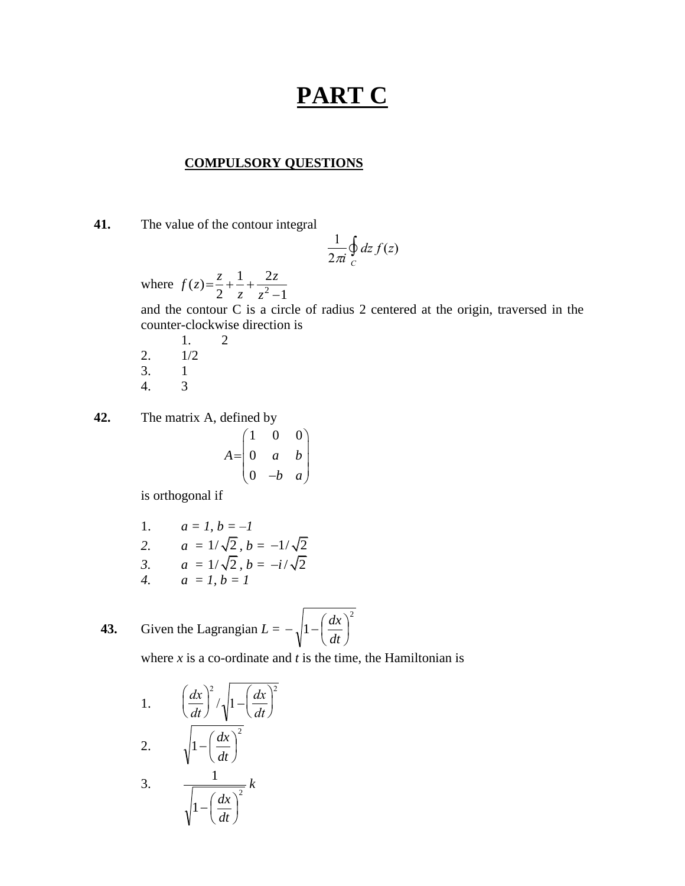## **PART C**

#### **COMPULSORY QUESTIONS**

 **41.** The value of the contour integral

$$
\frac{1}{2\pi i}\oint\limits_C dz\, f(z)
$$

where  $f(z) = \frac{z}{2} + \frac{1}{z} + \frac{2}{z^2}$  $2 \t z \t z^2-1$  $f(z) = \frac{z}{2} + \frac{1}{2} + \frac{2z}{2}$ *z z*  $=\frac{z}{2}+\frac{1}{z}+\frac{1}{z}$  $\overline{a}$ 

and the contour  $C$  is a circle<br>counter-clockwise direction is and the contour C is a circle of radius 2 centered at the origin, traversed in the

- 1. 2 2. 1/2 3. 1 4. 3
- **42.** The matrix A, defined by

$$
A = \begin{pmatrix} 1 & 0 & 0 \\ 0 & a & b \\ 0 & -b & a \end{pmatrix}
$$

is orthogonal if

1.  $a = 1, b = -1$ 

2. 
$$
a = 1/\sqrt{2}, b = -1/\sqrt{2}
$$

3. 
$$
a = 1/\sqrt{2}, b = -i/\sqrt{2}
$$

*4. a = 1, b = 1*

**43.** Given the Lagrangian 
$$
L = -\sqrt{1 - \left(\frac{dx}{dt}\right)^2}
$$

where  $x$  is a co-ordinate and  $t$  is the time, the Hamiltonian is

1. 
$$
\left(\frac{dx}{dt}\right)^2 / \sqrt{1 - \left(\frac{dx}{dt}\right)^2}
$$
  
2. 
$$
\sqrt{1 - \left(\frac{dx}{dt}\right)^2}
$$

2. 
$$
\sqrt{1 - \left(\frac{dt}{dt}\right)^2}
$$
  
3. 
$$
\frac{1}{\sqrt{1 - \left(\frac{t}{dt}\right)^2}}
$$

1

 $\overline{\phantom{a}}$ J  $\left(\frac{dx}{l}\right)$  $\setminus$  $-\left($ *dt dx*

*k*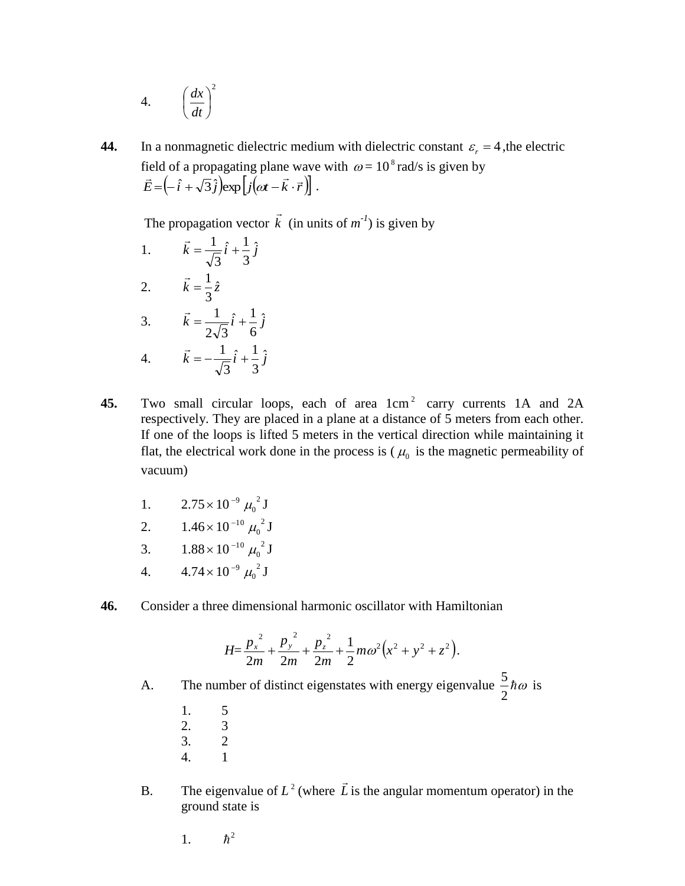4. 
$$
\left(\frac{dx}{dt}\right)^2
$$

**44.** In a nonmagnetic dielectric medium with dielectric constant  $\varepsilon_r = 4$ , the electric field of a propagating plane wave with  $\omega = 10^8$  rad/s is given by  $\vec{E} = \left(-\hat{i} + \sqrt{3}\hat{j}\right) \exp\left[j(\omega t - \vec{k} \cdot \vec{r})\right]$  $=\left(-\hat{i}+\sqrt{3}\hat{j}\right)\exp\left[j(\omega t-\vec{k}\cdot\vec{r})\right].$ 

The propagation vector *k*  $\rightarrow$  $(in$  units of  $m^{-1}$ ) is given by

- 1.  $\vec{k} = \frac{1}{\sqrt{2}}\hat{i} + \frac{1}{2}\hat{j}$ 3  $\hat{i} + \frac{1}{\cdot}$ 3  $=\frac{1}{\sqrt{1-\hat{i}}}$  $\rightarrow$ 2.  $\vec{k} = \frac{1}{3}\hat{z}$  $\rightarrow$ 3.  $\vec{k} = \frac{1}{\sqrt{3}} \hat{i} + \frac{1}{2} \hat{j}$ 6  $\hat{i} + \frac{1}{2}$  $2\sqrt{3}$  $=\frac{1}{\sqrt{1-i}}\hat{i} +$  $\rightarrow$ 4.  $\vec{k} = -\frac{1}{\sqrt{2}}\hat{i} + \frac{1}{2}\hat{j}$ 3  $\hat{i} + \frac{1}{\sqrt{2}}$ 3  $=-\frac{1}{\sqrt{1}}\hat{i} +$  $\rightarrow$
- 45. Two small circular loops, each of area  $1 \text{cm}^2$  carry currents 1A and 2A respectively. They are placed in a plane at a distance of 5 meters from each other. If one of the loops is lifted 5 meters in the vertical direction while maintaining it flat, the electrical work done in the process is  $(\mu_0)$  is the magnetic permeability of vacuum)
	- 1.  $2.75 \times 10^{-9} \mu_0^2 J$
	- 2.  $1.46 \times 10^{-10} \mu_0^2$  J
	- 3.  $1.88 \times 10^{-10} \mu_0^2 J$
	- 4.  $4.74 \times 10^{-9} \mu_0^2$  J
- **46.** Consider a three dimensional harmonic oscillator with Hamiltonian

$$
H = \frac{p_x^{2}}{2m} + \frac{p_y^{2}}{2m} + \frac{p_z^{2}}{2m} + \frac{1}{2}m\omega^{2}(x^{2} + y^{2} + z^{2}).
$$

A. The number of distinct eigenstates with energy eigenvalue  $-\hbar\omega$ 2  $\frac{5}{3}$ *ho* is

- 1. 5
- 2. 3
- 3. 2
- 4. 1
- B. The eigenvalue of  $L^2$  (where  $\vec{L}$  $\rightarrow$ is the angular momentum operator) in the ground state is
	- 1.  $\hbar^2$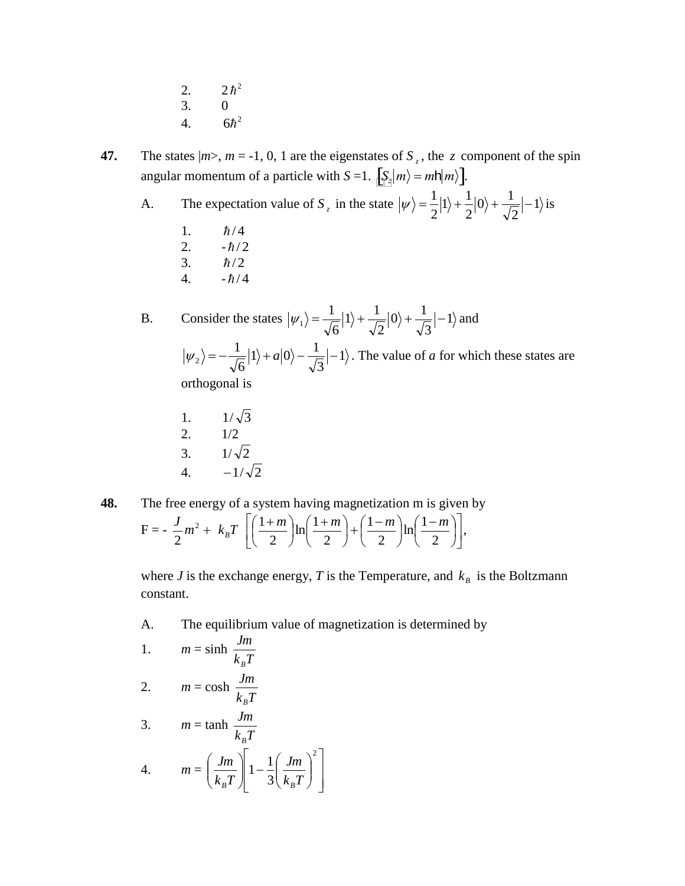$2.$  $\hbar^2$ 3. 0 4.  $6\hbar^2$ 

**47.** The states  $|m>$ ,  $m = -1, 0, 1$  are the eigenstates of  $S_z$ , the z component of the spin angular momentum of a particle with  $S = 1$ .  $\left[\sum_{i=1}^{S} |m\rangle = m h |m\rangle\right]$ .

A. The expectation value of  $S_z$  in the state  $|\psi\rangle = \frac{1}{2} |1\rangle + \frac{1}{2} |0\rangle + \frac{1}{2} |0\rangle$ 2  $|0\rangle + \frac{1}{\sqrt{2}}$ 2  $1\rangle + \frac{1}{2}$ 2  $|\psi\rangle = \frac{1}{2}|1\rangle + \frac{1}{2}|0\rangle + \frac{1}{\sqrt{2}}|-1\rangle$  is

- 1.  $\hbar/4$
- 2.  $-\hbar/2$
- 3.  $\hbar/2$
- 4.  $-\hbar/4$

B. Consider the states  $|\psi_1\rangle = \frac{1}{\epsilon} |1\rangle + \frac{1}{\epsilon} |0\rangle + \frac{1}{\epsilon} |-1\rangle$ 3  $|0\rangle + \frac{1}{\sqrt{2}}$ 2  $1\rangle + \frac{1}{\sqrt{2}}$ 6  $|\psi_1\rangle = \frac{1}{\sqrt{2}}|1\rangle + \frac{1}{\sqrt{2}}|0\rangle + \frac{1}{\sqrt{2}}|-1\rangle$  and 1 3  $1\rangle + a|0\rangle - \frac{1}{\sqrt{2}}$ 6  $|\psi_2\rangle = -\frac{1}{\sqrt{2}}|1\rangle + a|0\rangle - \frac{1}{\sqrt{2}}|0\rangle$ . The value of *a* for which these states are orthogonal is

- 1.  $1/\sqrt{3}$ 2. 1/2 3.  $1/\sqrt{2}$ 4.  $-1/\sqrt{2}$
- **48.** The free energy of a system having magnetization m is given by  $F = -\frac{J}{2}m^2 +$ 2  $\frac{J}{2}m^2 + k_B T$   $\left[ \left( \frac{1+m}{2} \right) \ln \left( \frac{1+m}{2} \right) + \left( \frac{1-m}{2} \right) \ln \left( \frac{1-m}{2} \right) \right]$  $\overline{\phantom{a}}$  $\overline{\mathsf{L}}$  $\overline{ }$  $\overline{\phantom{a}}$ J  $\left(\frac{1-m}{2}\right)$  $\setminus$  $\ln\left(\frac{1-\epsilon}{2}\right)$ J  $\left(\frac{1-m}{2}\right)$  $\setminus$  $+\left(\frac{1-\ }{2}\right)$ J  $\left(\frac{1+m}{2}\right)$  $\setminus$  $\ln\left(\frac{1+}{2}\right)$ J  $\left(\frac{1+m}{2}\right)$  $\setminus$  $(1 +$ 2  $\ln\left( \frac{1}{2}\right)$ 2 1 2  $\ln\left( \frac{1}{2}\right)$ 2  $\frac{1+m}{2}$  $\ln\left(\frac{1+m}{2}\right) + \left(\frac{1-m}{2}\right)\ln\left(\frac{1-m}{2}\right)$ ,

where *J* is the exchange energy, *T* is the Temperature, and  $k<sub>B</sub>$  is the Boltzmann constant.

A. The equilibrium value of magnetization is determined by

1. 
$$
m = \sinh \frac{Jm}{k_B T}
$$
  
2.  $m = \cosh \frac{Jm}{k_B T}$ 

2. 
$$
m = \cosh \frac{Jm}{k_B T}
$$

3. 
$$
m = \tanh \frac{Jm}{k_B T}
$$

4. 
$$
m = \left(\frac{Jm}{k_B T}\right)\left[1 - \frac{1}{3}\left(\frac{Jm}{k_B T}\right)^2\right]
$$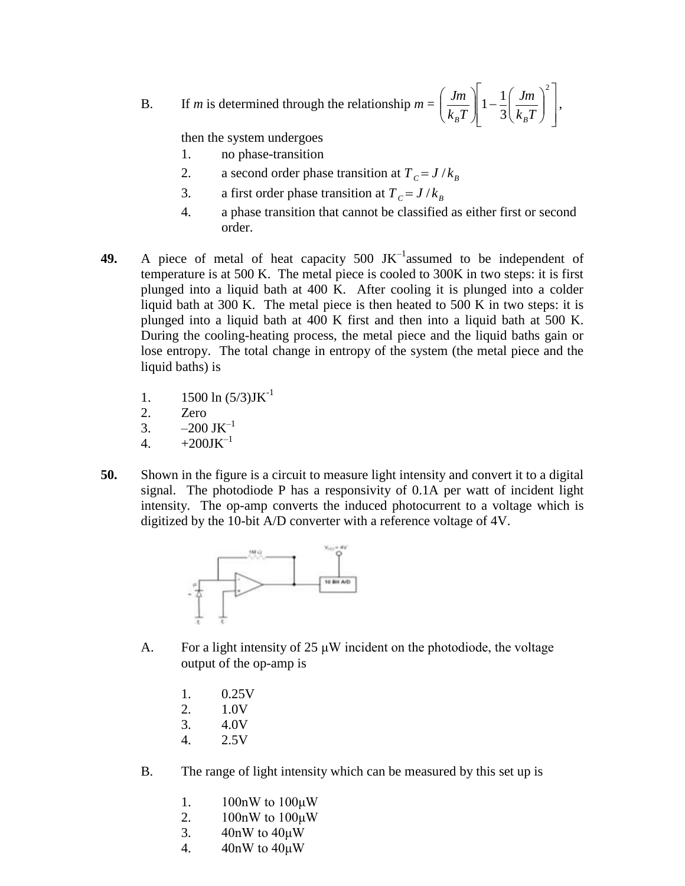B. If *m* is determined through the relationship  $m =$  $\overline{\phantom{a}}$  $\overline{\phantom{a}}$  $\rfloor$  $\overline{\phantom{a}}$  $\mathsf{L}$  $\overline{ }$ L  $\overline{ }$  $\overline{\phantom{a}}$  $\bigg)$  $\setminus$  $\overline{\phantom{a}}$  $\setminus$ ſ  $\parallel$  1 – J  $\backslash$  $\overline{\phantom{a}}$  $\setminus$  $\left(\begin{array}{c} \textit{Jm} \end{array}\right)$   $\left(\begin{array}{c} \textit{Jm} \end{array}\right)^2$ 3  $1-\frac{1}{2}$  $k_R^{\text{}}T$ *Jm*  $k_R T$ *Jm*  $B$  *B*  $\rightarrow$   $\left\langle K_B \right\rangle$ ,

then the system undergoes

- 1. no phase-transition
- 2. a second order phase transition at  $T_c = J/k_B$
- 3. a first order phase transition at  $T_c = J/k_B$
- 4. a phase transition that cannot be classified as either first or second order.
- **49.** A piece of metal of heat capacity  $500$  JK<sup>-1</sup> assumed to be independent of temperature is at 500 K. The metal piece is cooled to 300K in two steps: it is first plunged into a liquid bath at 400 K. After cooling it is plunged into a colder liquid bath at 300 K. The metal piece is then heated to 500 K in two steps: it is plunged into a liquid bath at 400 K first and then into a liquid bath at 500 K. During the cooling-heating process, the metal piece and the liquid baths gain or lose entropy. The total change in entropy of the system (the metal piece and the liquid baths) is
	- 1.  $1500 \ln (5/3) J K^{-1}$
	- 2. Zero
	- 3.  $-200 \text{ JK}^{-1}$
	- 4.  $+200$ JK<sup>-1</sup>
- **50.** Shown in the figure is a circuit to measure light intensity and convert it to a digital signal. The photodiode P has a responsivity of 0.1A per watt of incident light intensity. The op-amp converts the induced photocurrent to a voltage which is digitized by the 10-bit A/D converter with a reference voltage of 4V.



- A. For a light intensity of  $25 \mu W$  incident on the photodiode, the voltage output of the op-amp is
	- 1. 0.25V
	- 2. 1.0V
	- 3. 4.0V
	- 4. 2.5V
- B. The range of light intensity which can be measured by this set up is
	- 1. 100nW to 100μW
	- 2. 100nW to 100μW
	- 3. 40nW to 40μW
	- 4. 40nW to 40μW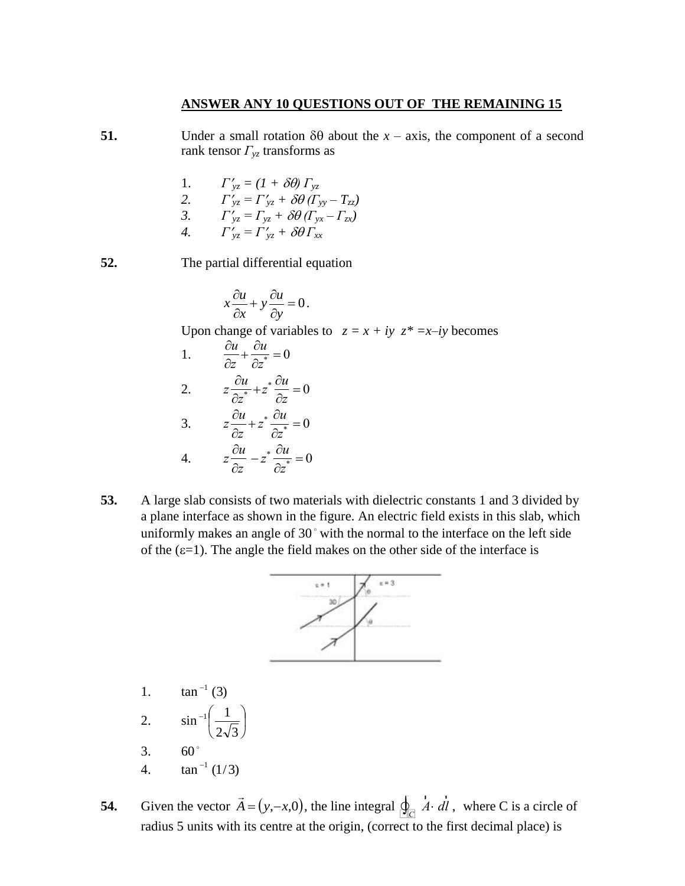### **ANSWER ANY 10 QUESTIONS OUT OF THE REMAINING 15**

- **51.** Under a small rotation  $\delta\theta$  about the *x* axis, the component of a second rank tensor *Γyz* transforms as
	- 1.  $\Gamma'_{yz} = (1 + \delta \theta) \Gamma_{yz}$ 2.  $\Gamma'_{yz} = \Gamma'_{yz} + \delta\theta (\Gamma_{yy} - \Gamma_{zz})$ 3.  $\Gamma'_{yz} = \Gamma_{yz} + \delta\theta (\Gamma_{yx} - \Gamma_{zx})$ *4.*  $\Gamma'_{yz} = \Gamma'_{yz} + \delta\theta \Gamma_{xx}$
- **52.** The partial differential equation
	- $x\frac{\partial u}{\partial x} + y\frac{\partial u}{\partial y} = 0$  $x \stackrel{y}{\sim} \partial y$  $\frac{\partial u}{\partial x} + y \frac{\partial u}{\partial y} = 0$  $\partial x$   $\partial y$ .

Upon change of variables to  $z = x + iy$   $z^* = x - iy$  becomes

- 1.  $\frac{\partial u}{\partial x}$ 3.  $z \frac{\partial u}{\partial x}$ *z*  $+\frac{\partial u}{\partial x}$  $\frac{\partial u}{\partial z^*} = 0$ 2. *z* 4.  $z\frac{\partial u}{\partial x}$ *u*  $\frac{\partial u}{\partial z^*} + z^* \frac{\partial u}{\partial z}$ *z*  $=0$ *z*  $+z^*$   $\frac{\partial u}{\partial x^*}$  $\frac{\partial u}{\partial z^*} = 0$ *z*  $-z^* \frac{\partial u}{\partial x^*}$  $\frac{\partial u}{\partial z^*} = 0$
- **53.** A large slab consists of two materials with dielectric constants 1 and 3 divided by a plane interface as shown in the righter in creative rief emission and state, which uniformly makes an angle of 30° with the normal to the interface on the left side a plane interface as shown in the figure. An electric field exists in this slab, which of the  $(\epsilon=1)$ . The angle the field makes on the other side of the interface is



- 1.  $\tan^{-1}(3)$ 2.  $\sin^{-1} \frac{1}{\sqrt{2}}$ J  $\left(\frac{1}{\sqrt{2}}\right)$  $\setminus$  $-1$  $2\sqrt{3}$  $\begin{pmatrix} 1 \end{pmatrix}$ 3.  $60^{\degree}$
- 4.  $\tan^{-1}(1/3)$
- **54.** Given the vector  $\vec{A} = (y,-x,0)$  $\rightarrow$ , the line integral  $\oint_{\mathbb{C}} \vec{A}$ *A d* r *l* , where C is a circle of radius 5 units with its centre at the origin, (correct to the first decimal place) is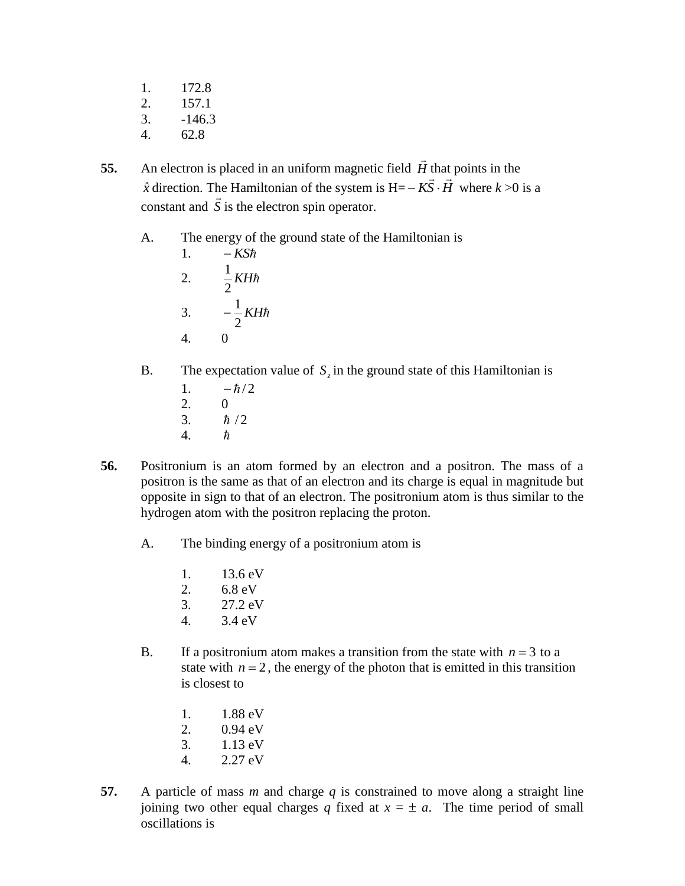- 1. 172.8
- 2. 157.1
- $3. -146.3$
- 4. 62.8
- **55.** An electron is placed in an uniform magnetic field *H*  $\rightarrow$ that points in the  $\hat{x}$  direction. The Hamiltonian of the system is  $H = -KS \cdot \hat{H}$ ulat<br> $\Rightarrow$  $-K\overline{S}\cdot\overline{H}$  where  $k > 0$  is a constant and *S* u<br>⇒ is the electron spin operator.
	- A. The energy of the ground state of the Hamiltonian is
		- 1.  $-KS\hbar$ 2.  $\frac{1}{2}KH\hbar$ 2 1 3.  $-\frac{1}{2}KH\hbar$ 2  $\frac{1}{2}$ 4. 0
	- B. The expectation value of  $S_z$  in the ground state of this Hamiltonian is
		- 1.  $-\hbar/2$ 2. 0
		- 3.  $\hbar/2$
		- 4.  $\hbar$
- **56.** Positronium is an atom formed by an electron and a positron. The mass of a positron is the same as that of an electron and its charge is equal in magnitude but opposite in sign to that of an electron. The positronium atom is thus similar to the hydrogen atom with the positron replacing the proton.
	- A. The binding energy of a positronium atom is
		- 1. 13.6 eV
		- 2. 6.8 eV
		- 3. 27.2 eV
		- 4. 3.4 eV
	- B. If a positronium atom makes a transition from the state with  $n = 3$  to a state with  $n = 2$ , the energy of the photon that is emitted in this transition is closest to
		- 1. 1.88 eV
		- 2. 0.94 eV
		- 3. 1.13 eV
		- 4. 2.27 eV
- **57.** A particle of mass *m* and charge *q* is constrained to move along a straight line joining two other equal charges *q* fixed at  $x = \pm a$ . The time period of small oscillations is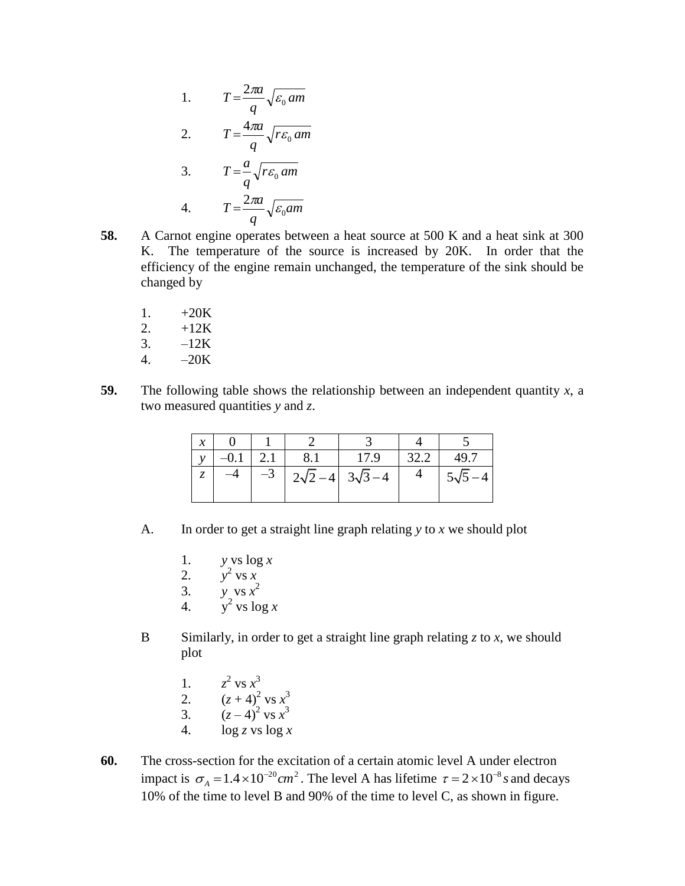1. 
$$
T = \frac{2\pi a}{q} \sqrt{\varepsilon_0 \, am}
$$
  
2. 
$$
T = \frac{4\pi a}{q} \sqrt{r \varepsilon_0 \, am}
$$
  
3. 
$$
T = \frac{a}{q} \sqrt{r \varepsilon_0 \, am}
$$
  
4. 
$$
T = \frac{2\pi a}{q} \sqrt{\varepsilon_0 \, am}
$$

- **58.** A Carnot engine operates between a heat source at 500 K and a heat sink at 300 K. The temperature of the source is increased by 20K. In order that the efficiency of the engine remain unchanged, the temperature of the sink should be changed by
	- 1.  $+20K$
	- 2.  $+12K$
	- 3.  $-12K$
	- 4. –20K
- **59.** The following table shows the relationship between an independent quantity  $x$ , a two measured quantities *y* and *z*.

| $\mathcal{X}$ |      |               |               |      |               |
|---------------|------|---------------|---------------|------|---------------|
|               |      | 8.1           | 17.9          | 32.2 | 49.7          |
|               | $-3$ | $2\sqrt{2}-4$ | $3\sqrt{3}-4$ |      | $5\sqrt{5}$ – |
|               |      |               |               |      |               |

- A. In order to get a straight line graph relating *y* to *x* we should plot
	- 1. *y* vs log *x*
	- 2.  $y^2 \text{ vs } x$
	- 3. *y* vs  $x^2$
	- 4.  $y^2$  vs  $\log x$
- B Similarly, in order to get a straight line graph relating  $z$  to  $x$ , we should plot
	- $2$  vs  $x^3$
	- 1. *z* 2.  $(z+4)^2 \text{ vs } x^3$
	- 3.  $(z-4)^2$  vs  $x^3$
	- 4. log *z* vs log *x*
- **60.** The cross-section for the excitation of a certain atomic level A under electron impact is  $\sigma_A = 1.4 \times 10^{-20}$  cm<sup>2</sup>. The level A has lifetime  $\tau = 2 \times 10^{-8}$  s and decays 10% of the time to level B and 90% of the time to level C, as shown in figure.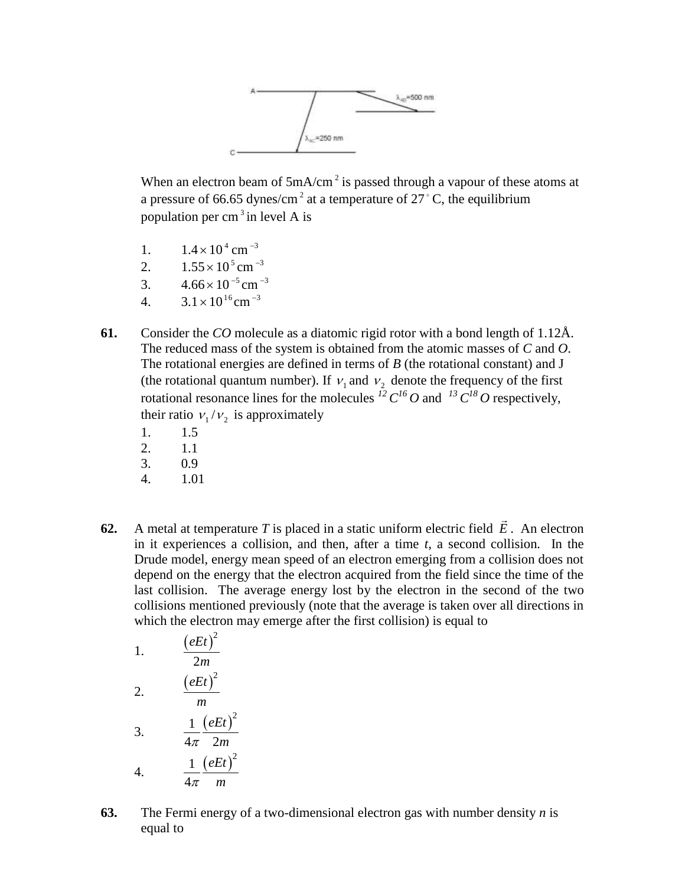

When an electron beam of  $5mA/cm<sup>2</sup>$  is passed through a vapour of these atoms at a pressure of 66.65 dynes/cm<sup>2</sup> at a temperature of  $27^{\circ}$ C, the equilibrium population per cm<sup>3</sup> in level A is

- 1.  $1.4 \times 10^{4}$  cm<sup>-3</sup>
- 2.  $1.55 \times 10^5$  cm<sup>-3</sup>
- 3.  $4.66 \times 10^{-5}$  cm<sup>-3</sup>
- 4.  $3.1 \times 10^{16}$  cm<sup>-3</sup>
- **61.** Consider the *CO* molecule as a diatomic rigid rotor with a bond length of 1.12Å. The reduced mass of the system is obtained from the atomic masses of *C* and *O*. The rotational energies are defined in terms of *B* (the rotational constant) and J (the rotational quantum number). If  $v_1$  and  $v_2$  denote the frequency of the first rotational resonance lines for the molecules  $^{12}C^{16}O$  and  $^{13}C^{18}O$  respectively, their ratio  $v_1/v_2$  is approximately
	- 1. 1.5
	- 2. 1.1
	- 3. 0.9
	- 4. 1.01
- **62.** A metal at temperature *T* is placed in a static uniform electric field *E*  $\overline{a}$ . An electron in it experiences a collision, and then, after a time *t*, a second collision. In the Drude model, energy mean speed of an electron emerging from a collision does not depend on the energy that the electron acquired from the field since the time of the last collision. The average energy lost by the electron in the second of the two collisions mentioned previously (note that the average is taken over all directions in which the electron may emerge after the first collision) is equal to

1. 
$$
\frac{(eEt)^2}{2m}
$$
  
\n2. 
$$
\frac{(eEt)^2}{m}
$$
  
\n3. 
$$
\frac{1}{4\pi} \frac{(eEt)^2}{2m}
$$
  
\n4. 
$$
\frac{1}{4\pi} \frac{(eEt)^2}{m}
$$

**63.** The Fermi energy of a two-dimensional electron gas with number density *n* is equal to